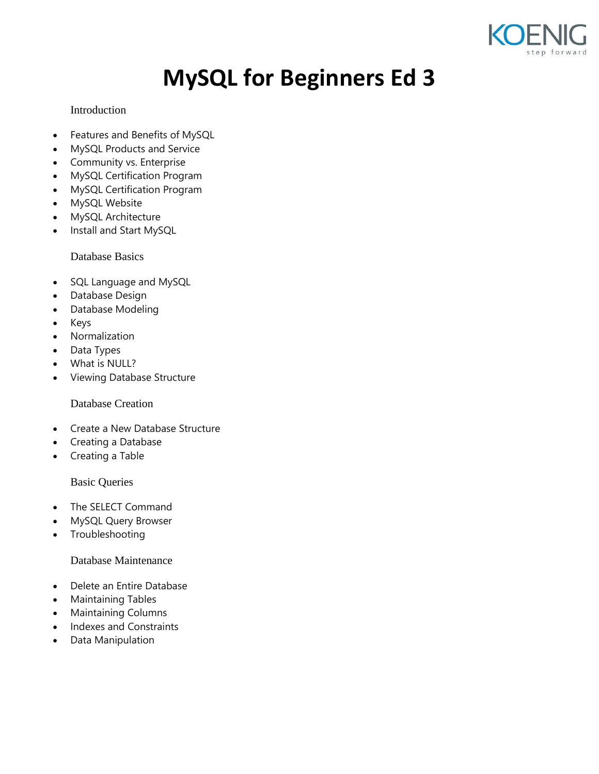

# **MySQL for Beginners Ed 3**

## Introduction

- Features and Benefits of MySQL
- MySQL Products and Service
- Community vs. Enterprise
- MySQL Certification Program
- MySQL Certification Program
- MySQL Website
- MySQL Architecture
- Install and Start MySQL

Database Basics

- SQL Language and MySQL
- Database Design
- Database Modeling
- Keys
- Normalization
- Data Types
- What is NULL?
- Viewing Database Structure

Database Creation

- Create a New Database Structure
- Creating a Database
- Creating a Table

Basic Queries

- The SELECT Command
- MySQL Query Browser
- Troubleshooting

Database Maintenance

- Delete an Entire Database
- Maintaining Tables
- Maintaining Columns
- Indexes and Constraints
- Data Manipulation